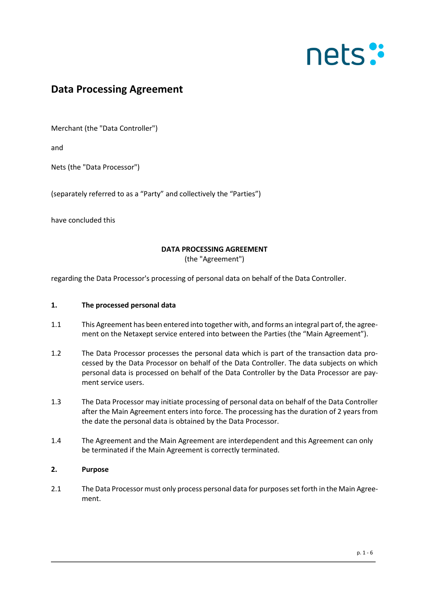### **Data Processing Agreement**

Merchant (the "Data Controller")

and

Nets (the "Data Processor")

(separately referred to as a "Party" and collectively the "Parties")

have concluded this

### **DATA PROCESSING AGREEMENT**

(the "Agreement")

regarding the Data Processor's processing of personal data on behalf of the Data Controller.

#### **1. The processed personal data**

- 1.1 This Agreement has been entered into together with, and forms an integral part of, the agreement on the Netaxept service entered into between the Parties (the "Main Agreement").
- 1.2 The Data Processor processes the personal data which is part of the transaction data processed by the Data Processor on behalf of the Data Controller. The data subjects on which personal data is processed on behalf of the Data Controller by the Data Processor are payment service users.
- 1.3 The Data Processor may initiate processing of personal data on behalf of the Data Controller after the Main Agreement enters into force. The processing has the duration of 2 years from the date the personal data is obtained by the Data Processor.
- 1.4 The Agreement and the Main Agreement are interdependent and this Agreement can only be terminated if the Main Agreement is correctly terminated.

### **2. Purpose**

2.1 The Data Processor must only process personal data for purposes set forth in the Main Agreement.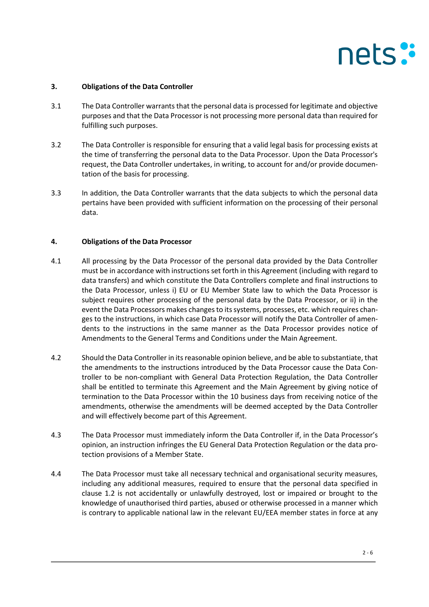### **3. Obligations of the Data Controller**

- 3.1 The Data Controller warrants that the personal data is processed for legitimate and objective purposes and that the Data Processor is not processing more personal data than required for fulfilling such purposes.
- 3.2 The Data Controller is responsible for ensuring that a valid legal basis for processing exists at the time of transferring the personal data to the Data Processor. Upon the Data Processor's request, the Data Controller undertakes, in writing, to account for and/or provide documentation of the basis for processing.
- 3.3 In addition, the Data Controller warrants that the data subjects to which the personal data pertains have been provided with sufficient information on the processing of their personal data.

#### **4. Obligations of the Data Processor**

- 4.1 All processing by the Data Processor of the personal data provided by the Data Controller must be in accordance with instructions set forth in this Agreement (including with regard to data transfers) and which constitute the Data Controllers complete and final instructions to the Data Processor, unless i) EU or EU Member State law to which the Data Processor is subject requires other processing of the personal data by the Data Processor, or ii) in the event the Data Processors makes changes to its systems, processes, etc. which requires changes to the instructions, in which case Data Processor will notify the Data Controller of amendents to the instructions in the same manner as the Data Processor provides notice of Amendments to the General Terms and Conditions under the Main Agreement.
- 4.2 Should the Data Controller in its reasonable opinion believe, and be able to substantiate, that the amendments to the instructions introduced by the Data Processor cause the Data Controller to be non-compliant with General Data Protection Regulation, the Data Controller shall be entitled to terminate this Agreement and the Main Agreement by giving notice of termination to the Data Processor within the 10 business days from receiving notice of the amendments, otherwise the amendments will be deemed accepted by the Data Controller and will effectively become part of this Agreement.
- 4.3 The Data Processor must immediately inform the Data Controller if, in the Data Processor's opinion, an instruction infringes the EU General Data Protection Regulation or the data protection provisions of a Member State.
- 4.4 The Data Processor must take all necessary technical and organisational security measures, including any additional measures, required to ensure that the personal data specified in clause 1.2 is not accidentally or unlawfully destroyed, lost or impaired or brought to the knowledge of unauthorised third parties, abused or otherwise processed in a manner which is contrary to applicable national law in the relevant EU/EEA member states in force at any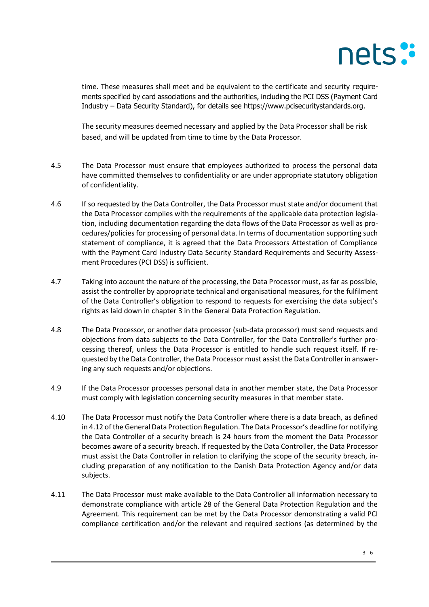time. These measures shall meet and be equivalent to the certificate and security requirements specified by card associations and the authorities, including the PCI DSS (Payment Card Industry – Data Security Standard), for details see https://www.pcisecuritystandards.org.

The security measures deemed necessary and applied by the Data Processor shall be risk based, and will be updated from time to time by the Data Processor.

- 4.5 The Data Processor must ensure that employees authorized to process the personal data have committed themselves to confidentiality or are under appropriate statutory obligation of confidentiality.
- 4.6 If so requested by the Data Controller, the Data Processor must state and/or document that the Data Processor complies with the requirements of the applicable data protection legislation, including documentation regarding the data flows of the Data Processor as well as procedures/policies for processing of personal data. In terms of documentation supporting such statement of compliance, it is agreed that the Data Processors Attestation of Compliance with the Payment Card Industry Data Security Standard Requirements and Security Assessment Procedures (PCI DSS) is sufficient.
- 4.7 Taking into account the nature of the processing, the Data Processor must, as far as possible, assist the controller by appropriate technical and organisational measures, for the fulfilment of the Data Controller's obligation to respond to requests for exercising the data subject's rights as laid down in chapter 3 in the General Data Protection Regulation.
- 4.8 The Data Processor, or another data processor (sub-data processor) must send requests and objections from data subjects to the Data Controller, for the Data Controller's further processing thereof, unless the Data Processor is entitled to handle such request itself. If requested by the Data Controller, the Data Processor must assist the Data Controller in answering any such requests and/or objections.
- 4.9 If the Data Processor processes personal data in another member state, the Data Processor must comply with legislation concerning security measures in that member state.
- 4.10 The Data Processor must notify the Data Controller where there is a data breach, as defined in 4.12 of the General Data Protection Regulation. The Data Processor's deadline for notifying the Data Controller of a security breach is 24 hours from the moment the Data Processor becomes aware of a security breach. If requested by the Data Controller, the Data Processor must assist the Data Controller in relation to clarifying the scope of the security breach, including preparation of any notification to the Danish Data Protection Agency and/or data subjects.
- 4.11 The Data Processor must make available to the Data Controller all information necessary to demonstrate compliance with article 28 of the General Data Protection Regulation and the Agreement. This requirement can be met by the Data Processor demonstrating a valid PCI compliance certification and/or the relevant and required sections (as determined by the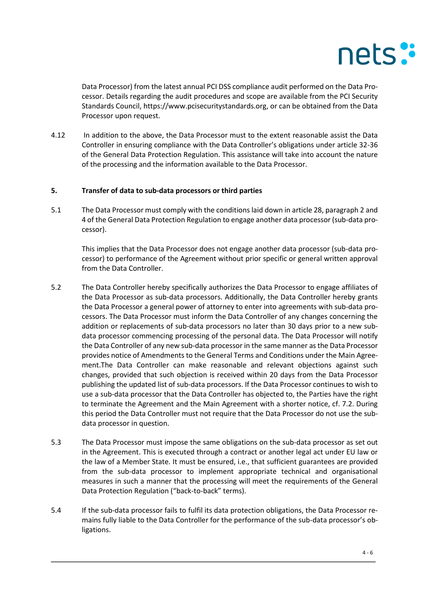

Data Processor) from the latest annual PCI DSS compliance audit performed on the Data Processor. Details regarding the audit procedures and scope are available from the PCI Security Standards Council, [https://www.pcisecuritystandards.org,](https://www.pcisecuritystandards.org/) or can be obtained from the Data Processor upon request.

4.12 In addition to the above, the Data Processor must to the extent reasonable assist the Data Controller in ensuring compliance with the Data Controller's obligations under article 32-36 of the General Data Protection Regulation. This assistance will take into account the nature of the processing and the information available to the Data Processor.

### **5. Transfer of data to sub-data processors or third parties**

5.1 The Data Processor must comply with the conditions laid down in article 28, paragraph 2 and 4 of the General Data Protection Regulation to engage another data processor (sub-data processor).

This implies that the Data Processor does not engage another data processor (sub-data processor) to performance of the Agreement without prior specific or general written approval from the Data Controller.

- 5.2 The Data Controller hereby specifically authorizes the Data Processor to engage affiliates of the Data Processor as sub-data processors. Additionally, the Data Controller hereby grants the Data Processor a general power of attorney to enter into agreements with sub-data processors. The Data Processor must inform the Data Controller of any changes concerning the addition or replacements of sub-data processors no later than 30 days prior to a new subdata processor commencing processing of the personal data. The Data Processor will notify the Data Controller of any new sub-data processor in the same manner as the Data Processor provides notice of Amendments to the General Terms and Conditions under the Main Agreement.The Data Controller can make reasonable and relevant objections against such changes, provided that such objection is received within 20 days from the Data Processor publishing the updated list of sub-data processors. If the Data Processor continues to wish to use a sub-data processor that the Data Controller has objected to, the Parties have the right to terminate the Agreement and the Main Agreement with a shorter notice, cf. 7.2. During this period the Data Controller must not require that the Data Processor do not use the subdata processor in question.
- 5.3 The Data Processor must impose the same obligations on the sub-data processor as set out in the Agreement. This is executed through a contract or another legal act under EU law or the law of a Member State. It must be ensured, i.e., that sufficient guarantees are provided from the sub-data processor to implement appropriate technical and organisational measures in such a manner that the processing will meet the requirements of the General Data Protection Regulation ("back-to-back" terms).
- 5.4 If the sub-data processor fails to fulfil its data protection obligations, the Data Processor remains fully liable to the Data Controller for the performance of the sub-data processor's obligations.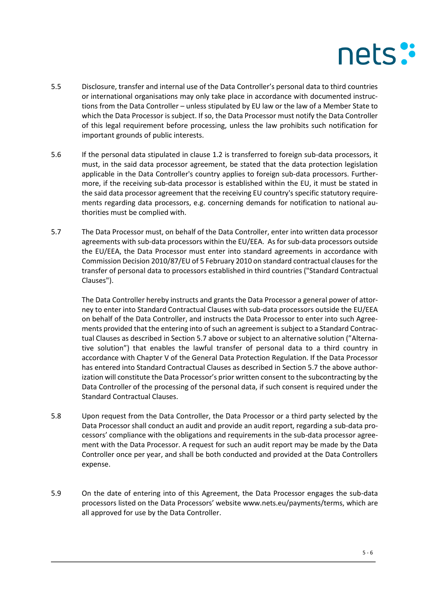- 5.5 Disclosure, transfer and internal use of the Data Controller's personal data to third countries or international organisations may only take place in accordance with documented instructions from the Data Controller – unless stipulated by EU law or the law of a Member State to which the Data Processor is subject. If so, the Data Processor must notify the Data Controller of this legal requirement before processing, unless the law prohibits such notification for important grounds of public interests.
- 5.6 If the personal data stipulated in clause 1.2 is transferred to foreign sub-data processors, it must, in the said data processor agreement, be stated that the data protection legislation applicable in the Data Controller's country applies to foreign sub-data processors. Furthermore, if the receiving sub-data processor is established within the EU, it must be stated in the said data processor agreement that the receiving EU country's specific statutory requirements regarding data processors, e.g. concerning demands for notification to national authorities must be complied with.
- 5.7 The Data Processor must, on behalf of the Data Controller, enter into written data processor agreements with sub-data processors within the EU/EEA. As for sub-data processors outside the EU/EEA, the Data Processor must enter into standard agreements in accordance with Commission Decision 2010/87/EU of 5 February 2010 on standard contractual clauses for the transfer of personal data to processors established in third countries ("Standard Contractual Clauses").

The Data Controller hereby instructs and grants the Data Processor a general power of attorney to enter into Standard Contractual Clauses with sub-data processors outside the EU/EEA on behalf of the Data Controller, and instructs the Data Processor to enter into such Agreements provided that the entering into of such an agreement is subject to a Standard Contractual Clauses as described in Section 5.7 above or subject to an alternative solution ("Alternative solution") that enables the lawful transfer of personal data to a third country in accordance with Chapter V of the General Data Protection Regulation. If the Data Processor has entered into Standard Contractual Clauses as described in Section 5.7 the above authorization will constitute the Data Processor's prior written consent to the subcontracting by the Data Controller of the processing of the personal data, if such consent is required under the Standard Contractual Clauses.

- 5.8 Upon request from the Data Controller, the Data Processor or a third party selected by the Data Processor shall conduct an audit and provide an audit report, regarding a sub-data processors' compliance with the obligations and requirements in the sub-data processor agreement with the Data Processor. A request for such an audit report may be made by the Data Controller once per year, and shall be both conducted and provided at the Data Controllers expense.
- 5.9 On the date of entering into of this Agreement, the Data Processor engages the sub-data processors listed on the Data Processors' website [www.nets.eu/payments/terms,](http://www.nets.eu/payments/terms) which are all approved for use by the Data Controller.